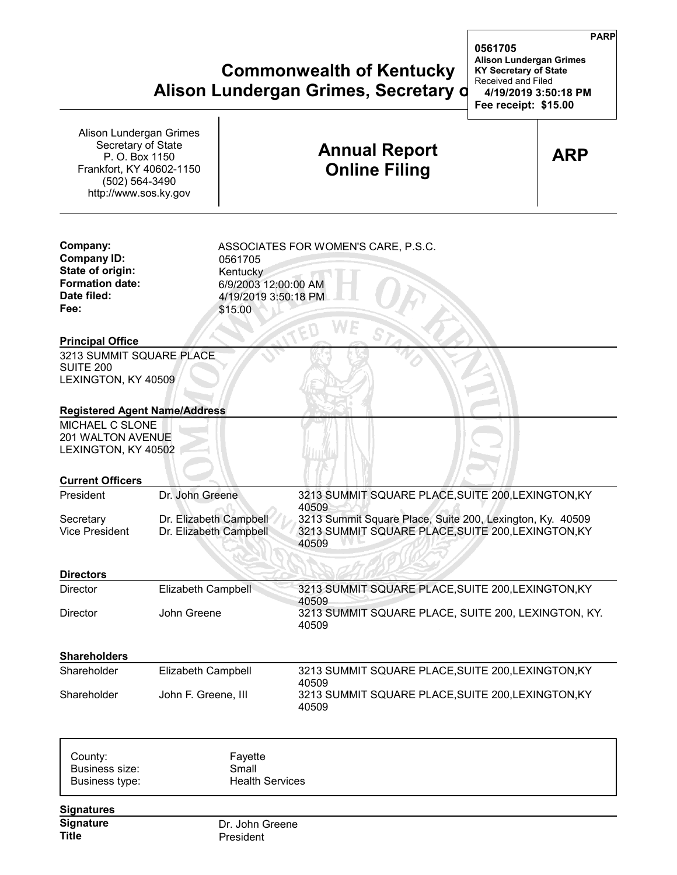## **Commonwealth of Kentucky KY Secretary of State Alison Lundergan Grimes, Secretary d** 14/19/20

| Alison Lundergan Grimes<br>Secretary of State<br>P. O. Box 1150<br>Frankfort, KY 40602-1150<br>(502) 564-3490<br>http://www.sos.ky.gov |                                                                                | <b>Annual Report</b><br><b>Online Filing</b>                                                                                                                                            | <b>ARP</b> |
|----------------------------------------------------------------------------------------------------------------------------------------|--------------------------------------------------------------------------------|-----------------------------------------------------------------------------------------------------------------------------------------------------------------------------------------|------------|
| Company:<br><b>Company ID:</b><br>State of origin:<br><b>Formation date:</b><br>Date filed:<br>Fee:                                    | 0561705<br>Kentucky<br>6/9/2003 12:00:00 AM<br>4/19/2019 3:50:18 PM<br>\$15.00 | ASSOCIATES FOR WOMEN'S CARE, P.S.C.                                                                                                                                                     |            |
| <b>Principal Office</b><br>3213 SUMMIT SQUARE PLACE<br><b>SUITE 200</b><br>LEXINGTON, KY 40509                                         |                                                                                |                                                                                                                                                                                         |            |
| <b>Registered Agent Name/Address</b><br>MICHAEL C SLONE<br>201 WALTON AVENUE<br>LEXINGTON, KY 40502                                    |                                                                                |                                                                                                                                                                                         |            |
| <b>Current Officers</b>                                                                                                                |                                                                                |                                                                                                                                                                                         |            |
| President<br>Secretary<br><b>Vice President</b>                                                                                        | Dr. John Greene<br>Dr. Elizabeth Campbell<br>Dr. Elizabeth Campbell            | 3213 SUMMIT SQUARE PLACE, SUITE 200, LEXINGTON, KY<br>40509<br>3213 Summit Square Place, Suite 200, Lexington, Ky. 40509<br>3213 SUMMIT SQUARE PLACE, SUITE 200, LEXINGTON, KY<br>40509 |            |
| <b>Directors</b>                                                                                                                       |                                                                                |                                                                                                                                                                                         |            |
| Director                                                                                                                               | <b>Elizabeth Campbell</b>                                                      | 3213 SUMMIT SQUARE PLACE, SUITE 200, LEXINGTON, KY                                                                                                                                      |            |
| <b>Director</b>                                                                                                                        | John Greene                                                                    | 40509<br>3213 SUMMIT SQUARE PLACE, SUITE 200, LEXINGTON, KY.<br>40509                                                                                                                   |            |
| <b>Shareholders</b>                                                                                                                    |                                                                                |                                                                                                                                                                                         |            |
| Shareholder                                                                                                                            | Elizabeth Campbell                                                             | 3213 SUMMIT SQUARE PLACE, SUITE 200, LEXINGTON, KY                                                                                                                                      |            |
| Shareholder                                                                                                                            | John F. Greene, III                                                            | 40509<br>3213 SUMMIT SQUARE PLACE, SUITE 200, LEXINGTON, KY<br>40509                                                                                                                    |            |
| County:<br>Business size:<br>Business type:                                                                                            | Fayette<br>Small<br><b>Health Services</b>                                     |                                                                                                                                                                                         |            |
| <b>Signatures</b>                                                                                                                      |                                                                                |                                                                                                                                                                                         |            |
| Signature<br><b>Title</b>                                                                                                              | Dr. John Greene<br>President                                                   |                                                                                                                                                                                         |            |